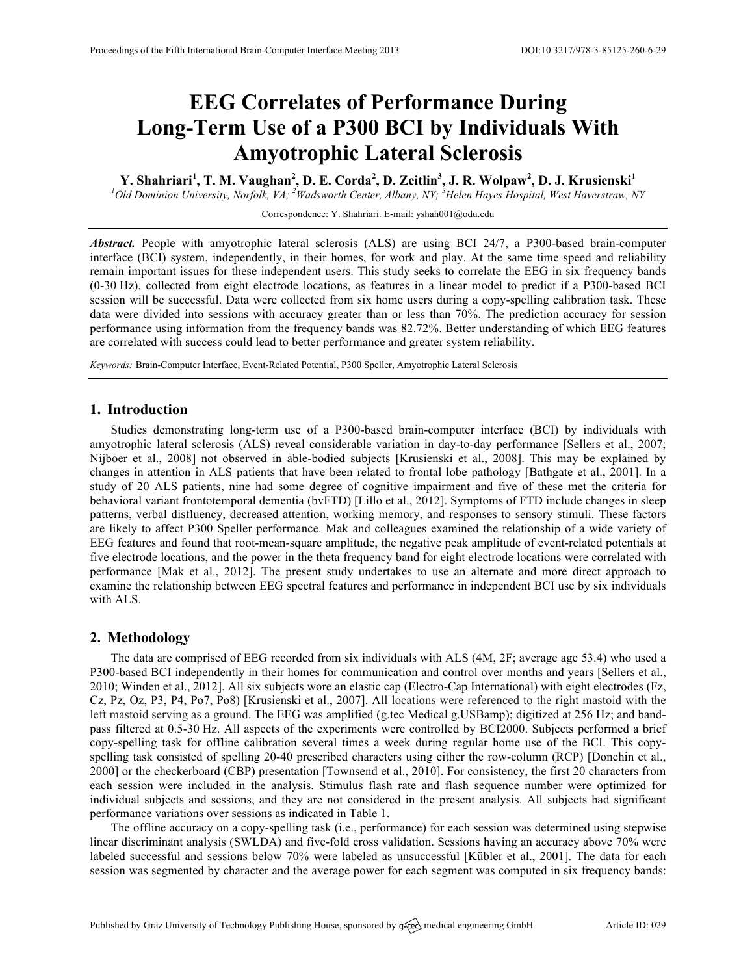# **EEG Correlates of Performance During Long-Term Use of a P300 BCI by Individuals With Amyotrophic Lateral Sclerosis**

**Y. Shahriari<sup>1</sup> , T. M. Vaughan<sup>2</sup> , D. E. Corda<sup>2</sup> , D. Zeitlin<sup>3</sup> , J. R. Wolpaw<sup>2</sup> , D. J. Krusienski<sup>1</sup>**

*1 Old Dominion University, Norfolk, VA; <sup>2</sup> Wadsworth Center, Albany, NY; <sup>3</sup> Helen Hayes Hospital, West Haverstraw, NY*

Correspondence: Y. Shahriari. E-mail: yshah001@odu.edu

*Abstract.* People with amyotrophic lateral sclerosis (ALS) are using BCI 24/7, a P300-based brain-computer interface (BCI) system, independently, in their homes, for work and play. At the same time speed and reliability remain important issues for these independent users. This study seeks to correlate the EEG in six frequency bands (0-30 Hz), collected from eight electrode locations, as features in a linear model to predict if a P300-based BCI session will be successful. Data were collected from six home users during a copy-spelling calibration task. These data were divided into sessions with accuracy greater than or less than 70%. The prediction accuracy for session performance using information from the frequency bands was 82.72%. Better understanding of which EEG features are correlated with success could lead to better performance and greater system reliability.

*Keywords:* Brain-Computer Interface, Event-Related Potential, P300 Speller, Amyotrophic Lateral Sclerosis

### **1. Introduction**

Studies demonstrating long-term use of a P300-based brain-computer interface (BCI) by individuals with amyotrophic lateral sclerosis (ALS) reveal considerable variation in day-to-day performance [Sellers et al., 2007; Nijboer et al., 2008] not observed in able-bodied subjects [Krusienski et al., 2008]. This may be explained by changes in attention in ALS patients that have been related to frontal lobe pathology [Bathgate et al., 2001]. In a study of 20 ALS patients, nine had some degree of cognitive impairment and five of these met the criteria for behavioral variant frontotemporal dementia (bvFTD) [Lillo et al., 2012]. Symptoms of FTD include changes in sleep patterns, verbal disfluency, decreased attention, working memory, and responses to sensory stimuli. These factors are likely to affect P300 Speller performance. Mak and colleagues examined the relationship of a wide variety of EEG features and found that root-mean-square amplitude, the negative peak amplitude of event-related potentials at five electrode locations, and the power in the theta frequency band for eight electrode locations were correlated with performance [Mak et al., 2012]. The present study undertakes to use an alternate and more direct approach to examine the relationship between EEG spectral features and performance in independent BCI use by six individuals with ALS.

### **2. Methodology**

The data are comprised of EEG recorded from six individuals with ALS (4M, 2F; average age 53.4) who used a P300-based BCI independently in their homes for communication and control over months and years [Sellers et al., 2010; Winden et al., 2012]. All six subjects wore an elastic cap (Electro-Cap International) with eight electrodes (Fz, Cz, Pz, Oz, P3, P4, Po7, Po8) [Krusienski et al., 2007]. All locations were referenced to the right mastoid with the left mastoid serving as a ground. The EEG was amplified (g.tec Medical g.USBamp); digitized at 256 Hz; and bandpass filtered at 0.5-30 Hz. All aspects of the experiments were controlled by BCI2000. Subjects performed a brief copy-spelling task for offline calibration several times a week during regular home use of the BCI. This copyspelling task consisted of spelling 20-40 prescribed characters using either the row-column (RCP) [Donchin et al., 2000] or the checkerboard (CBP) presentation [Townsend et al., 2010]. For consistency, the first 20 characters from each session were included in the analysis. Stimulus flash rate and flash sequence number were optimized for individual subjects and sessions, and they are not considered in the present analysis. All subjects had significant performance variations over sessions as indicated in Table 1.

The offline accuracy on a copy-spelling task (i.e., performance) for each session was determined using stepwise linear discriminant analysis (SWLDA) and five-fold cross validation. Sessions having an accuracy above 70% were labeled successful and sessions below 70% were labeled as unsuccessful [Kübler et al., 2001]. The data for each session was segmented by character and the average power for each segment was computed in six frequency bands: